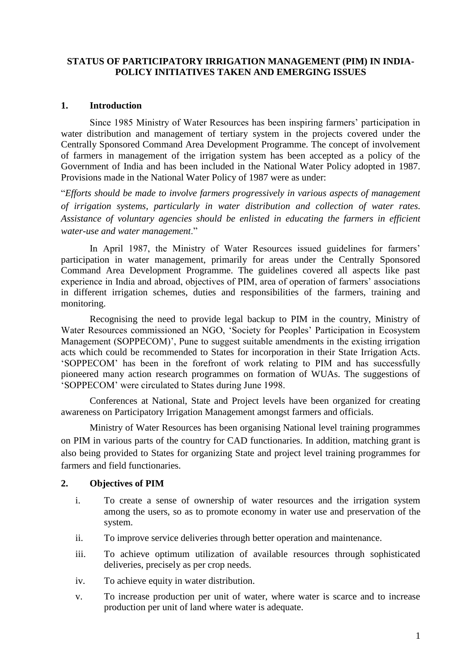### **STATUS OF PARTICIPATORY IRRIGATION MANAGEMENT (PIM) IN INDIA-POLICY INITIATIVES TAKEN AND EMERGING ISSUES**

#### **1. Introduction**

Since 1985 Ministry of Water Resources has been inspiring farmers" participation in water distribution and management of tertiary system in the projects covered under the Centrally Sponsored Command Area Development Programme. The concept of involvement of farmers in management of the irrigation system has been accepted as a policy of the Government of India and has been included in the National Water Policy adopted in 1987. Provisions made in the National Water Policy of 1987 were as under:

"*Efforts should be made to involve farmers progressively in various aspects of management of irrigation systems, particularly in water distribution and collection of water rates. Assistance of voluntary agencies should be enlisted in educating the farmers in efficient water-use and water management*."

In April 1987, the Ministry of Water Resources issued guidelines for farmers' participation in water management, primarily for areas under the Centrally Sponsored Command Area Development Programme. The guidelines covered all aspects like past experience in India and abroad, objectives of PIM, area of operation of farmers' associations in different irrigation schemes, duties and responsibilities of the farmers, training and monitoring.

Recognising the need to provide legal backup to PIM in the country, Ministry of Water Resources commissioned an NGO, "Society for Peoples" Participation in Ecosystem Management (SOPPECOM)', Pune to suggest suitable amendments in the existing irrigation acts which could be recommended to States for incorporation in their State Irrigation Acts. "SOPPECOM" has been in the forefront of work relating to PIM and has successfully pioneered many action research programmes on formation of WUAs. The suggestions of "SOPPECOM" were circulated to States during June 1998.

Conferences at National, State and Project levels have been organized for creating awareness on Participatory Irrigation Management amongst farmers and officials.

Ministry of Water Resources has been organising National level training programmes on PIM in various parts of the country for CAD functionaries. In addition, matching grant is also being provided to States for organizing State and project level training programmes for farmers and field functionaries.

#### **2. Objectives of PIM**

- i. To create a sense of ownership of water resources and the irrigation system among the users, so as to promote economy in water use and preservation of the system.
- ii. To improve service deliveries through better operation and maintenance.
- iii. To achieve optimum utilization of available resources through sophisticated deliveries, precisely as per crop needs.
- iv. To achieve equity in water distribution.
- v. To increase production per unit of water, where water is scarce and to increase production per unit of land where water is adequate.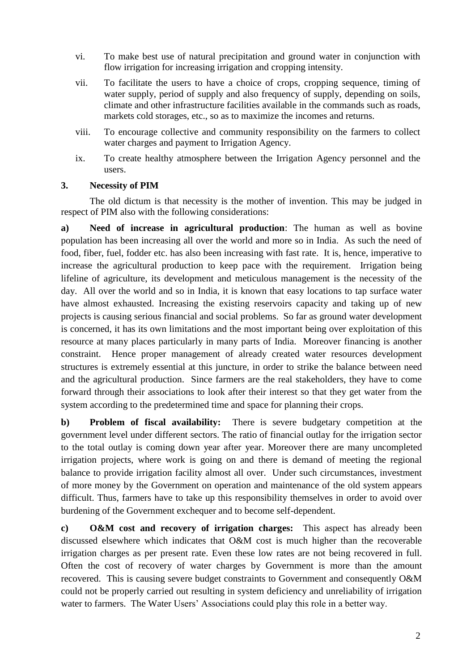- vi. To make best use of natural precipitation and ground water in conjunction with flow irrigation for increasing irrigation and cropping intensity.
- vii. To facilitate the users to have a choice of crops, cropping sequence, timing of water supply, period of supply and also frequency of supply, depending on soils, climate and other infrastructure facilities available in the commands such as roads, markets cold storages, etc., so as to maximize the incomes and returns.
- viii. To encourage collective and community responsibility on the farmers to collect water charges and payment to Irrigation Agency.
- ix. To create healthy atmosphere between the Irrigation Agency personnel and the users.

### **3. Necessity of PIM**

The old dictum is that necessity is the mother of invention. This may be judged in respect of PIM also with the following considerations:

**a) Need of increase in agricultural production**: The human as well as bovine population has been increasing all over the world and more so in India. As such the need of food, fiber, fuel, fodder etc. has also been increasing with fast rate. It is, hence, imperative to increase the agricultural production to keep pace with the requirement. Irrigation being lifeline of agriculture, its development and meticulous management is the necessity of the day. All over the world and so in India, it is known that easy locations to tap surface water have almost exhausted. Increasing the existing reservoirs capacity and taking up of new projects is causing serious financial and social problems. So far as ground water development is concerned, it has its own limitations and the most important being over exploitation of this resource at many places particularly in many parts of India. Moreover financing is another constraint. Hence proper management of already created water resources development structures is extremely essential at this juncture, in order to strike the balance between need and the agricultural production. Since farmers are the real stakeholders, they have to come forward through their associations to look after their interest so that they get water from the system according to the predetermined time and space for planning their crops.

**b) Problem of fiscal availability:** There is severe budgetary competition at the government level under different sectors. The ratio of financial outlay for the irrigation sector to the total outlay is coming down year after year. Moreover there are many uncompleted irrigation projects, where work is going on and there is demand of meeting the regional balance to provide irrigation facility almost all over. Under such circumstances, investment of more money by the Government on operation and maintenance of the old system appears difficult. Thus, farmers have to take up this responsibility themselves in order to avoid over burdening of the Government exchequer and to become self-dependent.

**c) O&M cost and recovery of irrigation charges:** This aspect has already been discussed elsewhere which indicates that O&M cost is much higher than the recoverable irrigation charges as per present rate. Even these low rates are not being recovered in full. Often the cost of recovery of water charges by Government is more than the amount recovered. This is causing severe budget constraints to Government and consequently O&M could not be properly carried out resulting in system deficiency and unreliability of irrigation water to farmers. The Water Users' Associations could play this role in a better way.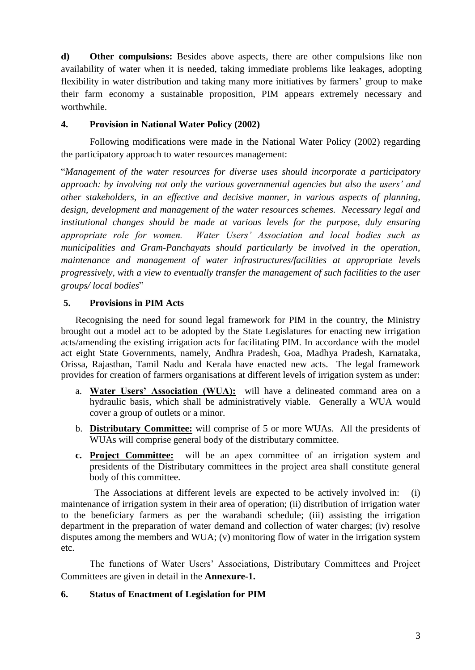**d) Other compulsions:** Besides above aspects, there are other compulsions like non availability of water when it is needed, taking immediate problems like leakages, adopting flexibility in water distribution and taking many more initiatives by farmers' group to make their farm economy a sustainable proposition, PIM appears extremely necessary and worthwhile.

# **4. Provision in National Water Policy (2002)**

Following modifications were made in the National Water Policy (2002) regarding the participatory approach to water resources management:

"*Management of the water resources for diverse uses should incorporate a participatory approach: by involving not only the various governmental agencies but also the users' and other stakeholders, in an effective and decisive manner, in various aspects of planning, design, development and management of the water resources schemes. Necessary legal and institutional changes should be made at various levels for the purpose, duly ensuring appropriate role for women. Water Users' Association and local bodies such as municipalities and Gram-Panchayats should particularly be involved in the operation, maintenance and management of water infrastructures/facilities at appropriate levels progressively, with a view to eventually transfer the management of such facilities to the user groups/ local bodies*"

# **5. Provisions in PIM Acts**

Recognising the need for sound legal framework for PIM in the country, the Ministry brought out a model act to be adopted by the State Legislatures for enacting new irrigation acts/amending the existing irrigation acts for facilitating PIM. In accordance with the model act eight State Governments, namely, Andhra Pradesh, Goa, Madhya Pradesh, Karnataka, Orissa, Rajasthan, Tamil Nadu and Kerala have enacted new acts. The legal framework provides for creation of farmers organisations at different levels of irrigation system as under:

- a. **Water Users' Association (WUA):** will have a delineated command area on a hydraulic basis, which shall be administratively viable. Generally a WUA would cover a group of outlets or a minor.
- b. **Distributary Committee:** will comprise of 5 or more WUAs. All the presidents of WUAs will comprise general body of the distributary committee.
- **c. Project Committee:** will be an apex committee of an irrigation system and presidents of the Distributary committees in the project area shall constitute general body of this committee.

 The Associations at different levels are expected to be actively involved in: (i) maintenance of irrigation system in their area of operation; (ii) distribution of irrigation water to the beneficiary farmers as per the warabandi schedule; (iii) assisting the irrigation department in the preparation of water demand and collection of water charges; (iv) resolve disputes among the members and WUA; (v) monitoring flow of water in the irrigation system etc.

The functions of Water Users" Associations, Distributary Committees and Project Committees are given in detail in the **Annexure-1.**

### **6. Status of Enactment of Legislation for PIM**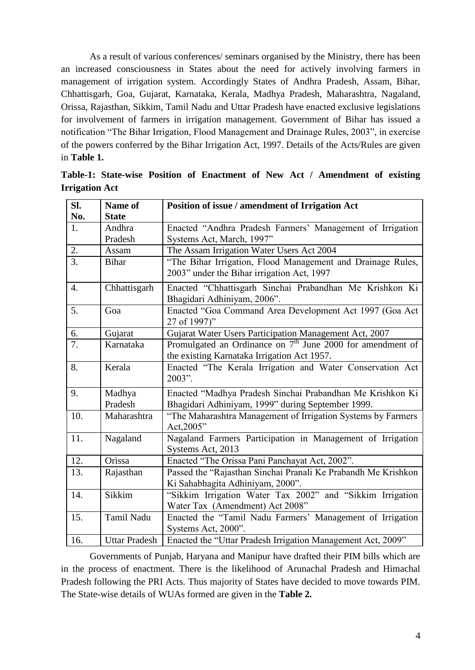As a result of various conferences/ seminars organised by the Ministry, there has been an increased consciousness in States about the need for actively involving farmers in management of irrigation system. Accordingly States of Andhra Pradesh, Assam, Bihar, Chhattisgarh, Goa, Gujarat, Karnataka, Kerala, Madhya Pradesh, Maharashtra, Nagaland, Orissa, Rajasthan, Sikkim, Tamil Nadu and Uttar Pradesh have enacted exclusive legislations for involvement of farmers in irrigation management. Government of Bihar has issued a notification "The Bihar Irrigation, Flood Management and Drainage Rules, 2003", in exercise of the powers conferred by the Bihar Irrigation Act, 1997. Details of the Acts/Rules are given in **Table 1.**

| Sl.              | Name of              | Position of issue / amendment of Irrigation Act                                                                |  |  |
|------------------|----------------------|----------------------------------------------------------------------------------------------------------------|--|--|
| No.              | <b>State</b>         |                                                                                                                |  |  |
| 1.               | Andhra               | Enacted "Andhra Pradesh Farmers' Management of Irrigation                                                      |  |  |
|                  | Pradesh              | Systems Act, March, 1997"                                                                                      |  |  |
| 2.               | Assam                | The Assam Irrigation Water Users Act 2004                                                                      |  |  |
| $\overline{3}$ . | <b>Bihar</b>         | "The Bihar Irrigation, Flood Management and Drainage Rules,<br>2003" under the Bihar irrigation Act, 1997      |  |  |
| $\overline{4}$ . | Chhattisgarh         | Enacted "Chhattisgarh Sinchai Prabandhan Me Krishkon Ki<br>Bhagidari Adhiniyam, 2006".                         |  |  |
| 5.               | Goa                  | Enacted "Goa Command Area Development Act 1997 (Goa Act<br>27 of 1997)"                                        |  |  |
| 6.               | Gujarat              | Gujarat Water Users Participation Management Act, 2007                                                         |  |  |
| 7.               | Karnataka            | Promulgated an Ordinance on $7th$ June 2000 for amendment of<br>the existing Karnataka Irrigation Act 1957.    |  |  |
| 8.               | Kerala               | Enacted "The Kerala Irrigation and Water Conservation Act<br>2003".                                            |  |  |
| 9.               | Madhya<br>Pradesh    | Enacted "Madhya Pradesh Sinchai Prabandhan Me Krishkon Ki<br>Bhagidari Adhiniyam, 1999" during September 1999. |  |  |
| 10.              | Maharashtra          | "The Maharashtra Management of Irrigation Systems by Farmers<br>Act, 2005"                                     |  |  |
| 11.              | Nagaland             | Nagaland Farmers Participation in Management of Irrigation<br>Systems Act, 2013                                |  |  |
| 12.              | Orissa               | Enacted "The Orissa Pani Panchayat Act, 2002".                                                                 |  |  |
| 13.              | Rajasthan            | Passed the "Rajasthan Sinchai Pranali Ke Prabandh Me Krishkon<br>Ki Sahabhagita Adhiniyam, 2000".              |  |  |
| 14.              | Sikkim               | "Sikkim Irrigation Water Tax 2002" and "Sikkim Irrigation<br>Water Tax (Amendment) Act 2008"                   |  |  |
| 15.              | Tamil Nadu           | Enacted the "Tamil Nadu Farmers' Management of Irrigation<br>Systems Act, 2000".                               |  |  |
| 16.              | <b>Uttar Pradesh</b> | Enacted the "Uttar Pradesh Irrigation Management Act, 2009"                                                    |  |  |

**Table-1: State-wise Position of Enactment of New Act / Amendment of existing Irrigation Act**

Governments of Punjab, Haryana and Manipur have drafted their PIM bills which are in the process of enactment. There is the likelihood of Arunachal Pradesh and Himachal Pradesh following the PRI Acts. Thus majority of States have decided to move towards PIM. The State-wise details of WUAs formed are given in the **Table 2.**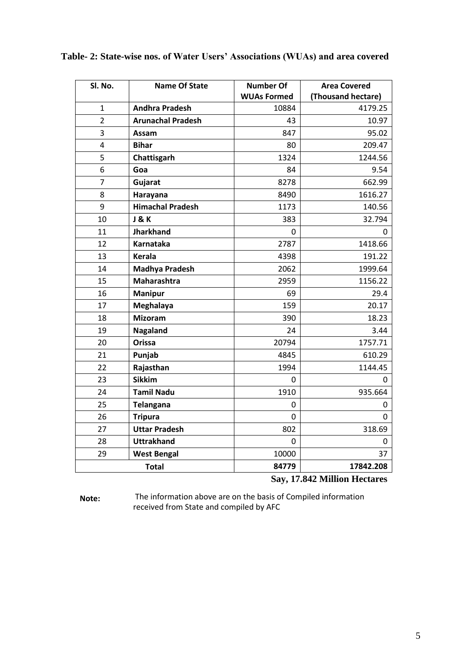| SI. No.                 | <b>Name Of State</b>     | <b>Number Of</b>   | <b>Area Covered</b> |
|-------------------------|--------------------------|--------------------|---------------------|
|                         |                          | <b>WUAs Formed</b> | (Thousand hectare)  |
| $\mathbf{1}$            | <b>Andhra Pradesh</b>    | 10884              | 4179.25             |
| $\overline{2}$          | <b>Arunachal Pradesh</b> | 43                 | 10.97               |
| 3                       | Assam                    | 847                | 95.02               |
| $\overline{\mathbf{4}}$ | <b>Bihar</b>             | 80                 | 209.47              |
| 5                       | Chattisgarh              | 1324               | 1244.56             |
| 6                       | Goa                      | 84                 | 9.54                |
| $\overline{7}$          | Gujarat                  | 8278               | 662.99              |
| 8                       | Harayana                 | 8490               | 1616.27             |
| 9                       | <b>Himachal Pradesh</b>  | 1173               | 140.56              |
| 10                      | J & K                    | 383                | 32.794              |
| 11                      | <b>Jharkhand</b>         | 0                  | 0                   |
| 12                      | Karnataka                | 2787               | 1418.66             |
| 13                      | <b>Kerala</b>            | 4398               | 191.22              |
| 14                      | <b>Madhya Pradesh</b>    | 2062               | 1999.64             |
| 15                      | Maharashtra              | 2959               | 1156.22             |
| 16                      | <b>Manipur</b>           | 69                 | 29.4                |
| 17                      | Meghalaya                | 159                | 20.17               |
| 18                      | <b>Mizoram</b>           | 390                | 18.23               |
| 19                      | Nagaland                 | 24                 | 3.44                |
| 20                      | <b>Orissa</b>            | 20794              | 1757.71             |
| 21                      | Punjab                   | 4845               | 610.29              |
| 22                      | Rajasthan                | 1994               | 1144.45             |
| 23                      | <b>Sikkim</b>            | 0                  | 0                   |
| 24                      | <b>Tamil Nadu</b>        | 1910               | 935.664             |
| 25                      | <b>Telangana</b>         | 0                  | 0                   |
| 26                      | <b>Tripura</b>           | $\overline{0}$     | 0                   |
| 27                      | <b>Uttar Pradesh</b>     | 802                | 318.69              |
| 28                      | <b>Uttrakhand</b>        | 0                  | 0                   |
| 29                      | <b>West Bengal</b>       | 10000              | 37                  |
|                         | <b>Total</b>             | 84779              | 17842.208           |

### **Table- 2: State-wise nos. of Water Users' Associations (WUAs) and area covered**

# **Say, 17.842 Million Hectares**

**Note:** The information above are on the basis of Compiled information received from State and compiled by AFC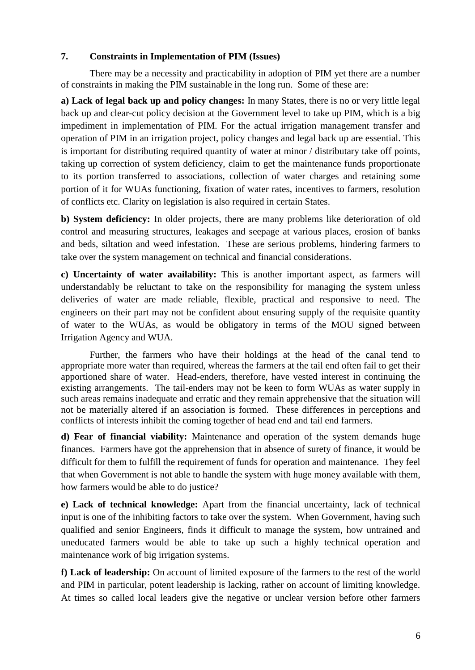### **7. Constraints in Implementation of PIM (Issues)**

There may be a necessity and practicability in adoption of PIM yet there are a number of constraints in making the PIM sustainable in the long run. Some of these are:

**a) Lack of legal back up and policy changes:** In many States, there is no or very little legal back up and clear-cut policy decision at the Government level to take up PIM, which is a big impediment in implementation of PIM. For the actual irrigation management transfer and operation of PIM in an irrigation project, policy changes and legal back up are essential. This is important for distributing required quantity of water at minor / distributary take off points, taking up correction of system deficiency, claim to get the maintenance funds proportionate to its portion transferred to associations, collection of water charges and retaining some portion of it for WUAs functioning, fixation of water rates, incentives to farmers, resolution of conflicts etc. Clarity on legislation is also required in certain States.

**b) System deficiency:** In older projects, there are many problems like deterioration of old control and measuring structures, leakages and seepage at various places, erosion of banks and beds, siltation and weed infestation. These are serious problems, hindering farmers to take over the system management on technical and financial considerations.

**c) Uncertainty of water availability:** This is another important aspect, as farmers will understandably be reluctant to take on the responsibility for managing the system unless deliveries of water are made reliable, flexible, practical and responsive to need. The engineers on their part may not be confident about ensuring supply of the requisite quantity of water to the WUAs, as would be obligatory in terms of the MOU signed between Irrigation Agency and WUA.

Further, the farmers who have their holdings at the head of the canal tend to appropriate more water than required, whereas the farmers at the tail end often fail to get their apportioned share of water. Head-enders, therefore, have vested interest in continuing the existing arrangements. The tail-enders may not be keen to form WUAs as water supply in such areas remains inadequate and erratic and they remain apprehensive that the situation will not be materially altered if an association is formed. These differences in perceptions and conflicts of interests inhibit the coming together of head end and tail end farmers.

**d) Fear of financial viability:** Maintenance and operation of the system demands huge finances. Farmers have got the apprehension that in absence of surety of finance, it would be difficult for them to fulfill the requirement of funds for operation and maintenance. They feel that when Government is not able to handle the system with huge money available with them, how farmers would be able to do justice?

**e) Lack of technical knowledge:** Apart from the financial uncertainty, lack of technical input is one of the inhibiting factors to take over the system. When Government, having such qualified and senior Engineers, finds it difficult to manage the system, how untrained and uneducated farmers would be able to take up such a highly technical operation and maintenance work of big irrigation systems.

**f) Lack of leadership:** On account of limited exposure of the farmers to the rest of the world and PIM in particular, potent leadership is lacking, rather on account of limiting knowledge. At times so called local leaders give the negative or unclear version before other farmers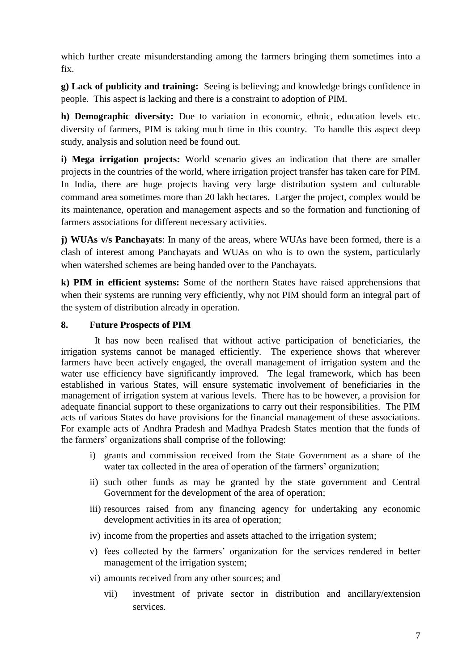which further create misunderstanding among the farmers bringing them sometimes into a fix.

**g) Lack of publicity and training:** Seeing is believing; and knowledge brings confidence in people. This aspect is lacking and there is a constraint to adoption of PIM.

**h) Demographic diversity:** Due to variation in economic, ethnic, education levels etc. diversity of farmers, PIM is taking much time in this country. To handle this aspect deep study, analysis and solution need be found out.

**i) Mega irrigation projects:** World scenario gives an indication that there are smaller projects in the countries of the world, where irrigation project transfer has taken care for PIM. In India, there are huge projects having very large distribution system and culturable command area sometimes more than 20 lakh hectares. Larger the project, complex would be its maintenance, operation and management aspects and so the formation and functioning of farmers associations for different necessary activities.

**j) WUAs v/s Panchayats**: In many of the areas, where WUAs have been formed, there is a clash of interest among Panchayats and WUAs on who is to own the system, particularly when watershed schemes are being handed over to the Panchayats.

**k) PIM in efficient systems:** Some of the northern States have raised apprehensions that when their systems are running very efficiently, why not PIM should form an integral part of the system of distribution already in operation.

# **8. Future Prospects of PIM**

It has now been realised that without active participation of beneficiaries, the irrigation systems cannot be managed efficiently. The experience shows that wherever farmers have been actively engaged, the overall management of irrigation system and the water use efficiency have significantly improved. The legal framework, which has been established in various States, will ensure systematic involvement of beneficiaries in the management of irrigation system at various levels. There has to be however, a provision for adequate financial support to these organizations to carry out their responsibilities. The PIM acts of various States do have provisions for the financial management of these associations. For example acts of Andhra Pradesh and Madhya Pradesh States mention that the funds of the farmers" organizations shall comprise of the following:

- i) grants and commission received from the State Government as a share of the water tax collected in the area of operation of the farmers' organization;
- ii) such other funds as may be granted by the state government and Central Government for the development of the area of operation;
- iii) resources raised from any financing agency for undertaking any economic development activities in its area of operation;
- iv) income from the properties and assets attached to the irrigation system;
- v) fees collected by the farmers" organization for the services rendered in better management of the irrigation system;
- vi) amounts received from any other sources; and
	- vii) investment of private sector in distribution and ancillary/extension services.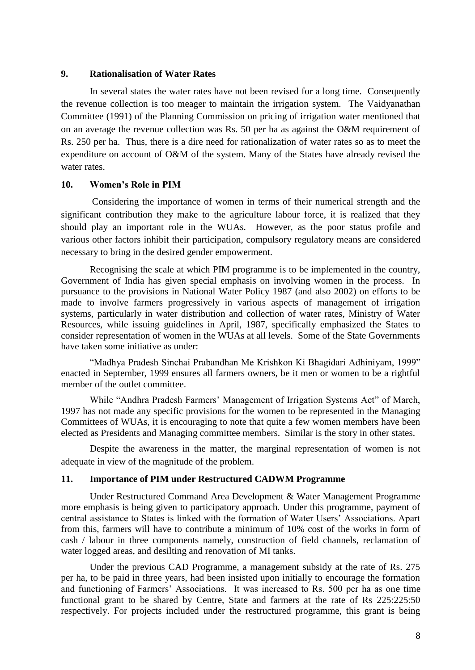#### **9. Rationalisation of Water Rates**

In several states the water rates have not been revised for a long time. Consequently the revenue collection is too meager to maintain the irrigation system. The Vaidyanathan Committee (1991) of the Planning Commission on pricing of irrigation water mentioned that on an average the revenue collection was Rs. 50 per ha as against the O&M requirement of Rs. 250 per ha. Thus, there is a dire need for rationalization of water rates so as to meet the expenditure on account of O&M of the system. Many of the States have already revised the water rates.

#### **10. Women's Role in PIM**

Considering the importance of women in terms of their numerical strength and the significant contribution they make to the agriculture labour force, it is realized that they should play an important role in the WUAs. However, as the poor status profile and various other factors inhibit their participation, compulsory regulatory means are considered necessary to bring in the desired gender empowerment.

Recognising the scale at which PIM programme is to be implemented in the country, Government of India has given special emphasis on involving women in the process. In pursuance to the provisions in National Water Policy 1987 (and also 2002) on efforts to be made to involve farmers progressively in various aspects of management of irrigation systems, particularly in water distribution and collection of water rates, Ministry of Water Resources, while issuing guidelines in April, 1987, specifically emphasized the States to consider representation of women in the WUAs at all levels. Some of the State Governments have taken some initiative as under:

"Madhya Pradesh Sinchai Prabandhan Me Krishkon Ki Bhagidari Adhiniyam, 1999" enacted in September, 1999 ensures all farmers owners, be it men or women to be a rightful member of the outlet committee.

While "Andhra Pradesh Farmers' Management of Irrigation Systems Act" of March, 1997 has not made any specific provisions for the women to be represented in the Managing Committees of WUAs, it is encouraging to note that quite a few women members have been elected as Presidents and Managing committee members. Similar is the story in other states.

Despite the awareness in the matter, the marginal representation of women is not adequate in view of the magnitude of the problem.

#### **11. Importance of PIM under Restructured CADWM Programme**

Under Restructured Command Area Development & Water Management Programme more emphasis is being given to participatory approach. Under this programme, payment of central assistance to States is linked with the formation of Water Users" Associations. Apart from this, farmers will have to contribute a minimum of 10% cost of the works in form of cash / labour in three components namely, construction of field channels, reclamation of water logged areas, and desilting and renovation of MI tanks.

Under the previous CAD Programme, a management subsidy at the rate of Rs. 275 per ha, to be paid in three years, had been insisted upon initially to encourage the formation and functioning of Farmers" Associations. It was increased to Rs. 500 per ha as one time functional grant to be shared by Centre, State and farmers at the rate of Rs 225:225:50 respectively. For projects included under the restructured programme, this grant is being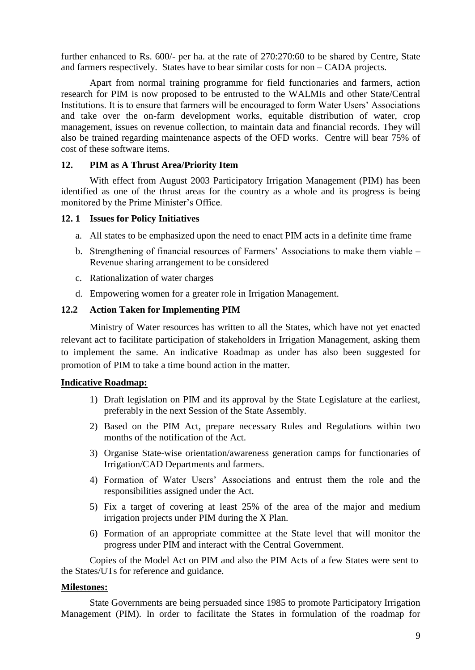further enhanced to Rs. 600/- per ha. at the rate of 270:270:60 to be shared by Centre, State and farmers respectively. States have to bear similar costs for non – CADA projects.

Apart from normal training programme for field functionaries and farmers, action research for PIM is now proposed to be entrusted to the WALMIs and other State/Central Institutions. It is to ensure that farmers will be encouraged to form Water Users" Associations and take over the on-farm development works, equitable distribution of water, crop management, issues on revenue collection, to maintain data and financial records. They will also be trained regarding maintenance aspects of the OFD works. Centre will bear 75% of cost of these software items.

#### **12. PIM as A Thrust Area/Priority Item**

With effect from August 2003 Participatory Irrigation Management (PIM) has been identified as one of the thrust areas for the country as a whole and its progress is being monitored by the Prime Minister's Office.

#### **12. 1 Issues for Policy Initiatives**

- a. All states to be emphasized upon the need to enact PIM acts in a definite time frame
- b. Strengthening of financial resources of Farmers" Associations to make them viable Revenue sharing arrangement to be considered
- c. Rationalization of water charges
- d. Empowering women for a greater role in Irrigation Management.

#### **12.2 Action Taken for Implementing PIM**

Ministry of Water resources has written to all the States, which have not yet enacted relevant act to facilitate participation of stakeholders in Irrigation Management, asking them to implement the same. An indicative Roadmap as under has also been suggested for promotion of PIM to take a time bound action in the matter.

#### **Indicative Roadmap:**

- 1) Draft legislation on PIM and its approval by the State Legislature at the earliest, preferably in the next Session of the State Assembly.
- 2) Based on the PIM Act, prepare necessary Rules and Regulations within two months of the notification of the Act.
- 3) Organise State-wise orientation/awareness generation camps for functionaries of Irrigation/CAD Departments and farmers.
- 4) Formation of Water Users" Associations and entrust them the role and the responsibilities assigned under the Act.
- 5) Fix a target of covering at least 25% of the area of the major and medium irrigation projects under PIM during the X Plan.
- 6) Formation of an appropriate committee at the State level that will monitor the progress under PIM and interact with the Central Government.

Copies of the Model Act on PIM and also the PIM Acts of a few States were sent to the States/UTs for reference and guidance.

#### **Milestones:**

State Governments are being persuaded since 1985 to promote Participatory Irrigation Management (PIM). In order to facilitate the States in formulation of the roadmap for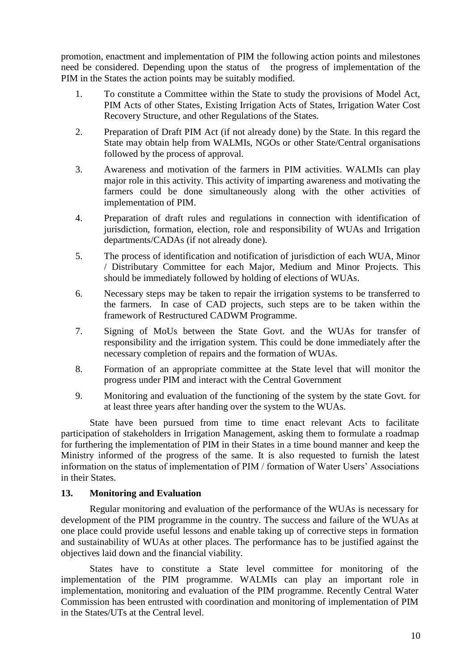promotion, enactment and implementation of PIM the following action points and milestones need be considered. Depending upon the status of the progress of implementation of the PIM in the States the action points may be suitably modified.

- 1. To constitute a Committee within the State to study the provisions of Model Act, PIM Acts of other States, Existing Irrigation Acts of States, Irrigation Water Cost Recovery Structure, and other Regulations of the States.
- 2. Preparation of Draft PIM Act (if not already done) by the State. In this regard the State may obtain help from WALMIs, NGOs or other State/Central organisations followed by the process of approval.
- 3. Awareness and motivation of the farmers in PIM activities. WALMIs can play major role in this activity. This activity of imparting awareness and motivating the farmers could be done simultaneously along with the other activities of implementation of PIM.
- 4. Preparation of draft rules and regulations in connection with identification of jurisdiction, formation, election, role and responsibility of WUAs and Irrigation departments/CADAs (if not already done).
- 5. The process of identification and notification of jurisdiction of each WUA, Minor / Distributary Committee for each Major, Medium and Minor Projects. This should be immediately followed by holding of elections of WUAs.
- 6. Necessary steps may be taken to repair the irrigation systems to be transferred to the farmers. In case of CAD projects, such steps are to be taken within the framework of Restructured CADWM Programme.
- 7. Signing of MoUs between the State Govt. and the WUAs for transfer of responsibility and the irrigation system. This could be done immediately after the necessary completion of repairs and the formation of WUAs.
- 8. Formation of an appropriate committee at the State level that will monitor the progress under PIM and interact with the Central Government
- 9. Monitoring and evaluation of the functioning of the system by the state Govt. for at least three years after handing over the system to the WUAs.

State have been pursued from time to time enact relevant Acts to facilitate participation of stakeholders in Irrigation Management, asking them to formulate a roadmap for furthering the implementation of PIM in their States in a time bound manner and keep the Ministry informed of the progress of the same. It is also requested to furnish the latest information on the status of implementation of PIM / formation of Water Users" Associations in their States.

#### **13. Monitoring and Evaluation**

Regular monitoring and evaluation of the performance of the WUAs is necessary for development of the PIM programme in the country. The success and failure of the WUAs at one place could provide useful lessons and enable taking up of corrective steps in formation and sustainability of WUAs at other places. The performance has to be justified against the objectives laid down and the financial viability.

States have to constitute a State level committee for monitoring of the implementation of the PIM programme. WALMIs can play an important role in implementation, monitoring and evaluation of the PIM programme. Recently Central Water Commission has been entrusted with coordination and monitoring of implementation of PIM in the States/UTs at the Central level.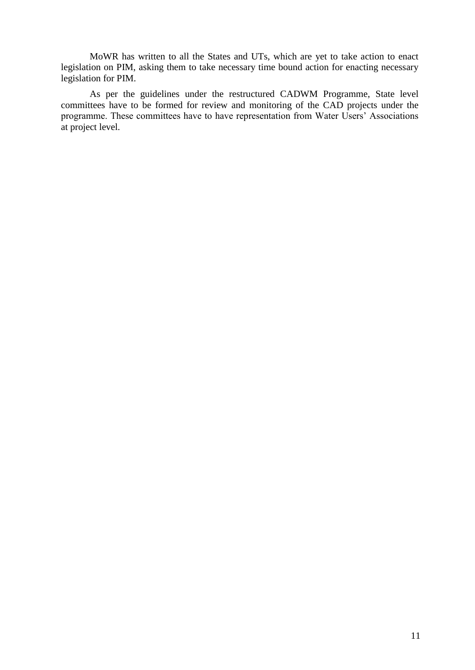MoWR has written to all the States and UTs, which are yet to take action to enact legislation on PIM, asking them to take necessary time bound action for enacting necessary legislation for PIM.

As per the guidelines under the restructured CADWM Programme, State level committees have to be formed for review and monitoring of the CAD projects under the programme. These committees have to have representation from Water Users" Associations at project level.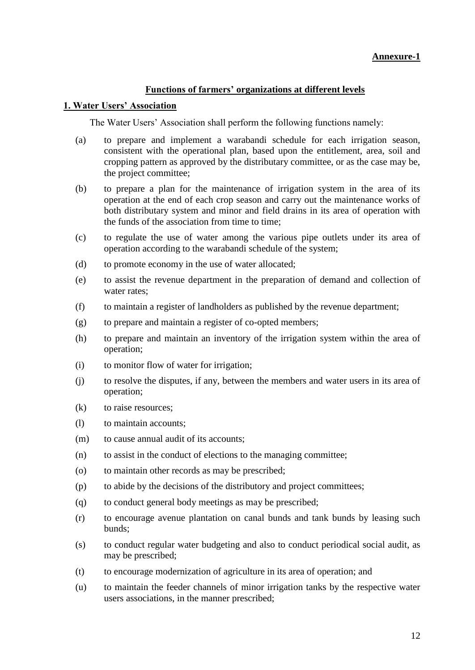### **Functions of farmers' organizations at different levels**

#### **1. Water Users' Association**

The Water Users" Association shall perform the following functions namely:

- (a) to prepare and implement a warabandi schedule for each irrigation season, consistent with the operational plan, based upon the entitlement, area, soil and cropping pattern as approved by the distributary committee, or as the case may be, the project committee;
- (b) to prepare a plan for the maintenance of irrigation system in the area of its operation at the end of each crop season and carry out the maintenance works of both distributary system and minor and field drains in its area of operation with the funds of the association from time to time;
- (c) to regulate the use of water among the various pipe outlets under its area of operation according to the warabandi schedule of the system;
- (d) to promote economy in the use of water allocated;
- (e) to assist the revenue department in the preparation of demand and collection of water rates;
- (f) to maintain a register of landholders as published by the revenue department;
- (g) to prepare and maintain a register of co-opted members;
- (h) to prepare and maintain an inventory of the irrigation system within the area of operation;
- (i) to monitor flow of water for irrigation;
- (j) to resolve the disputes, if any, between the members and water users in its area of operation;
- (k) to raise resources;
- (l) to maintain accounts;
- (m) to cause annual audit of its accounts;
- (n) to assist in the conduct of elections to the managing committee;
- (o) to maintain other records as may be prescribed;
- (p) to abide by the decisions of the distributory and project committees;
- (q) to conduct general body meetings as may be prescribed;
- (r) to encourage avenue plantation on canal bunds and tank bunds by leasing such bunds;
- (s) to conduct regular water budgeting and also to conduct periodical social audit, as may be prescribed;
- (t) to encourage modernization of agriculture in its area of operation; and
- (u) to maintain the feeder channels of minor irrigation tanks by the respective water users associations, in the manner prescribed;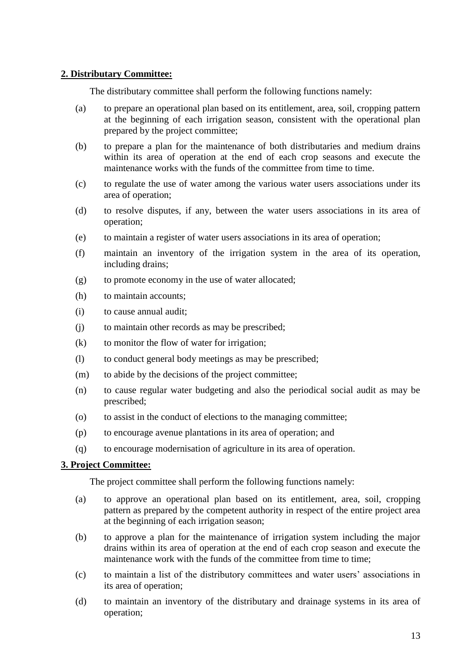### **2. Distributary Committee:**

The distributary committee shall perform the following functions namely:

- (a) to prepare an operational plan based on its entitlement, area, soil, cropping pattern at the beginning of each irrigation season, consistent with the operational plan prepared by the project committee;
- (b) to prepare a plan for the maintenance of both distributaries and medium drains within its area of operation at the end of each crop seasons and execute the maintenance works with the funds of the committee from time to time.
- (c) to regulate the use of water among the various water users associations under its area of operation;
- (d) to resolve disputes, if any, between the water users associations in its area of operation;
- (e) to maintain a register of water users associations in its area of operation;
- (f) maintain an inventory of the irrigation system in the area of its operation, including drains;
- (g) to promote economy in the use of water allocated;
- (h) to maintain accounts;
- (i) to cause annual audit;
- (j) to maintain other records as may be prescribed;
- (k) to monitor the flow of water for irrigation;
- (l) to conduct general body meetings as may be prescribed;
- (m) to abide by the decisions of the project committee;
- (n) to cause regular water budgeting and also the periodical social audit as may be prescribed;
- (o) to assist in the conduct of elections to the managing committee;
- (p) to encourage avenue plantations in its area of operation; and
- (q) to encourage modernisation of agriculture in its area of operation.

#### **3. Project Committee:**

The project committee shall perform the following functions namely:

- (a) to approve an operational plan based on its entitlement, area, soil, cropping pattern as prepared by the competent authority in respect of the entire project area at the beginning of each irrigation season;
- (b) to approve a plan for the maintenance of irrigation system including the major drains within its area of operation at the end of each crop season and execute the maintenance work with the funds of the committee from time to time;
- (c) to maintain a list of the distributory committees and water users" associations in its area of operation;
- (d) to maintain an inventory of the distributary and drainage systems in its area of operation;